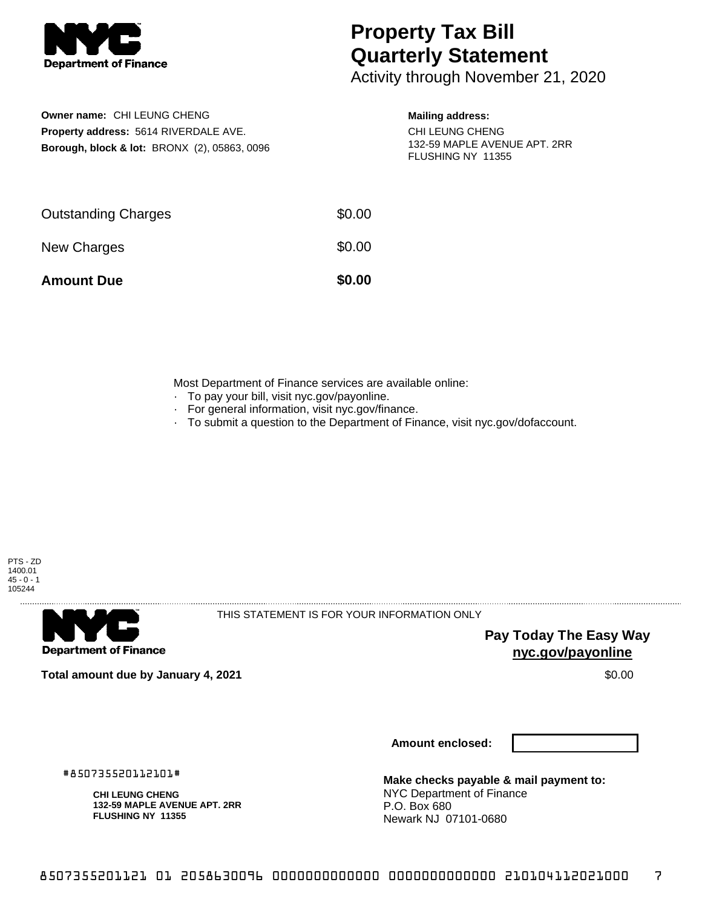

**Owner name:** CHI LEUNG CHENG

**Property address:** 5614 RIVERDALE AVE. **Borough, block & lot:** BRONX (2), 05863, 0096

## **Property Tax Bill Quarterly Statement**

Activity through November 21, 2020

## **Mailing address:**

CHI LEUNG CHENG 132-59 MAPLE AVENUE APT. 2RR FLUSHING NY 11355

| <b>Amount Due</b>          | \$0.00 |
|----------------------------|--------|
| New Charges                | \$0.00 |
| <b>Outstanding Charges</b> | \$0.00 |

Most Department of Finance services are available online:

- · To pay your bill, visit nyc.gov/payonline.
- For general information, visit nyc.gov/finance.
- · To submit a question to the Department of Finance, visit nyc.gov/dofaccount.



. . . . . . . . . . . . . . . .

**Department of Finance** 

THIS STATEMENT IS FOR YOUR INFORMATION ONLY

**Pay Today The Easy Way nyc.gov/payonline**

**Total amount due by January 4, 2021** \$0.00

#850735520112101#

**Amount enclosed:**

**CHI LEUNG CHENG 132-59 MAPLE AVENUE APT. 2RR FLUSHING NY 11355**

**Make checks payable & mail payment to:** NYC Department of Finance P.O. Box 680 Newark NJ 07101-0680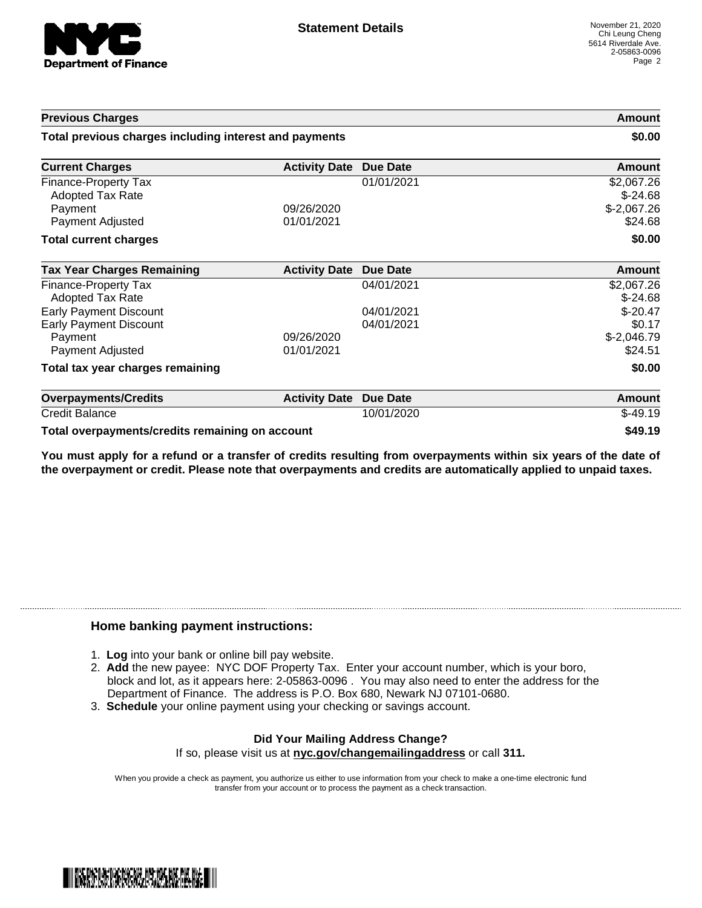

| <b>Previous Charges</b>                                                                       |                          |                          | <b>Amount</b>                                      |
|-----------------------------------------------------------------------------------------------|--------------------------|--------------------------|----------------------------------------------------|
| Total previous charges including interest and payments                                        |                          | \$0.00                   |                                                    |
| <b>Current Charges</b>                                                                        | <b>Activity Date</b>     | <b>Due Date</b>          | <b>Amount</b>                                      |
| Finance-Property Tax<br><b>Adopted Tax Rate</b><br>Payment<br>Payment Adjusted                | 09/26/2020<br>01/01/2021 | 01/01/2021               | \$2,067.26<br>$$-24.68$<br>$$-2,067.26$<br>\$24.68 |
| <b>Total current charges</b>                                                                  |                          |                          | \$0.00                                             |
| <b>Tax Year Charges Remaining</b>                                                             | <b>Activity Date</b>     | Due Date                 | <b>Amount</b>                                      |
| Finance-Property Tax<br>Adopted Tax Rate                                                      |                          | 04/01/2021               | \$2,067.26<br>$$-24.68$                            |
| <b>Early Payment Discount</b><br><b>Early Payment Discount</b><br>Payment<br>Payment Adjusted | 09/26/2020<br>01/01/2021 | 04/01/2021<br>04/01/2021 | $$-20.47$<br>\$0.17<br>$$-2,046.79$<br>\$24.51     |
| Total tax year charges remaining                                                              |                          |                          | \$0.00                                             |
| <b>Overpayments/Credits</b>                                                                   | <b>Activity Date</b>     | <b>Due Date</b>          | <b>Amount</b>                                      |
| <b>Credit Balance</b>                                                                         |                          | 10/01/2020               | $$-49.19$                                          |

Total overpayments/credits remaining on account **by a struck of the struck of the S49.19** \$49.19

You must apply for a refund or a transfer of credits resulting from overpayments within six years of the date of **the overpayment or credit. Please note that overpayments and credits are automatically applied to unpaid taxes.**

## **Home banking payment instructions:**

- 1. **Log** into your bank or online bill pay website.
- 2. **Add** the new payee: NYC DOF Property Tax. Enter your account number, which is your boro, block and lot, as it appears here: 2-05863-0096 . You may also need to enter the address for the Department of Finance. The address is P.O. Box 680, Newark NJ 07101-0680.
- 3. **Schedule** your online payment using your checking or savings account.

## **Did Your Mailing Address Change?** If so, please visit us at **nyc.gov/changemailingaddress** or call **311.**

When you provide a check as payment, you authorize us either to use information from your check to make a one-time electronic fund transfer from your account or to process the payment as a check transaction.